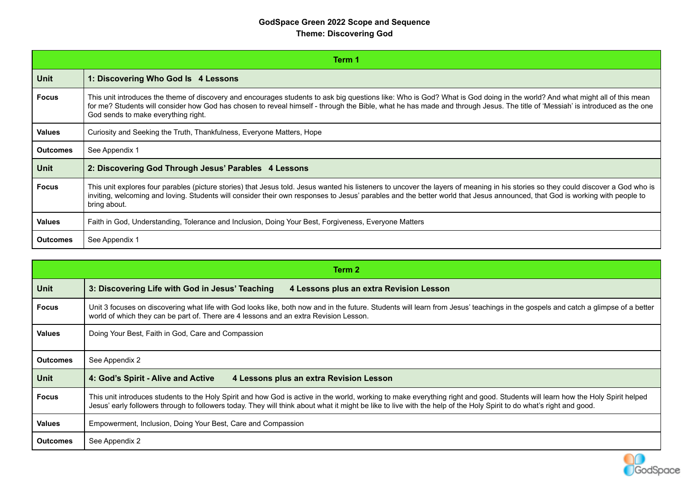#### **GodSpace Green 2022 Scope and Sequence Theme: Discovering God**

|                 | Term 1                                                                                                                                                                                                                                                                                                                                                                                            |  |  |  |  |  |  |
|-----------------|---------------------------------------------------------------------------------------------------------------------------------------------------------------------------------------------------------------------------------------------------------------------------------------------------------------------------------------------------------------------------------------------------|--|--|--|--|--|--|
| <b>Unit</b>     | 1: Discovering Who God Is 4 Lessons                                                                                                                                                                                                                                                                                                                                                               |  |  |  |  |  |  |
| <b>Focus</b>    | This unit introduces the theme of discovery and encourages students to ask big questions like: Who is God? What is God doing in the world? And what might all of this mean<br>for me? Students will consider how God has chosen to reveal himself - through the Bible, what he has made and through Jesus. The title of 'Messiah' is introduced as the one<br>God sends to make everything right. |  |  |  |  |  |  |
| <b>Values</b>   | Curiosity and Seeking the Truth, Thankfulness, Everyone Matters, Hope                                                                                                                                                                                                                                                                                                                             |  |  |  |  |  |  |
| <b>Outcomes</b> | See Appendix 1                                                                                                                                                                                                                                                                                                                                                                                    |  |  |  |  |  |  |
| <b>Unit</b>     | 2: Discovering God Through Jesus' Parables 4 Lessons                                                                                                                                                                                                                                                                                                                                              |  |  |  |  |  |  |
| <b>Focus</b>    | This unit explores four parables (picture stories) that Jesus told. Jesus wanted his listeners to uncover the layers of meaning in his stories so they could discover a God who is<br>inviting, welcoming and loving. Students will consider their own responses to Jesus' parables and the better world that Jesus announced, that God is working with people to<br>bring about.                 |  |  |  |  |  |  |
| <b>Values</b>   | Faith in God, Understanding, Tolerance and Inclusion, Doing Your Best, Forgiveness, Everyone Matters                                                                                                                                                                                                                                                                                              |  |  |  |  |  |  |
| <b>Outcomes</b> | See Appendix 1                                                                                                                                                                                                                                                                                                                                                                                    |  |  |  |  |  |  |

|                 | Term <sub>2</sub>                                                                                                                                                                                                                                                                                                                                      |  |  |  |  |  |  |
|-----------------|--------------------------------------------------------------------------------------------------------------------------------------------------------------------------------------------------------------------------------------------------------------------------------------------------------------------------------------------------------|--|--|--|--|--|--|
| <b>Unit</b>     | 3: Discovering Life with God in Jesus' Teaching<br>4 Lessons plus an extra Revision Lesson                                                                                                                                                                                                                                                             |  |  |  |  |  |  |
| <b>Focus</b>    | Unit 3 focuses on discovering what life with God looks like, both now and in the future. Students will learn from Jesus' teachings in the gospels and catch a glimpse of a better<br>world of which they can be part of. There are 4 lessons and an extra Revision Lesson.                                                                             |  |  |  |  |  |  |
| <b>Values</b>   | Doing Your Best, Faith in God, Care and Compassion                                                                                                                                                                                                                                                                                                     |  |  |  |  |  |  |
| <b>Outcomes</b> | See Appendix 2                                                                                                                                                                                                                                                                                                                                         |  |  |  |  |  |  |
| <b>Unit</b>     | 4: God's Spirit - Alive and Active<br>4 Lessons plus an extra Revision Lesson                                                                                                                                                                                                                                                                          |  |  |  |  |  |  |
| <b>Focus</b>    | This unit introduces students to the Holy Spirit and how God is active in the world, working to make everything right and good. Students will learn how the Holy Spirit helped<br>Jesus' early followers through to followers today. They will think about what it might be like to live with the help of the Holy Spirit to do what's right and good. |  |  |  |  |  |  |
| <b>Values</b>   | Empowerment, Inclusion, Doing Your Best, Care and Compassion                                                                                                                                                                                                                                                                                           |  |  |  |  |  |  |
| Outcomes        | See Appendix 2                                                                                                                                                                                                                                                                                                                                         |  |  |  |  |  |  |

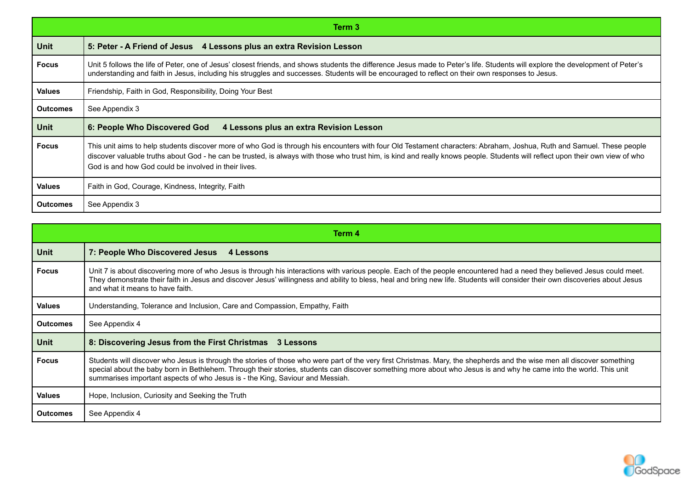|                 | Term 3                                                                                                                                                                                                                                                                                                                                                                                                         |  |  |  |  |  |
|-----------------|----------------------------------------------------------------------------------------------------------------------------------------------------------------------------------------------------------------------------------------------------------------------------------------------------------------------------------------------------------------------------------------------------------------|--|--|--|--|--|
| Unit            | 5: Peter - A Friend of Jesus 4 Lessons plus an extra Revision Lesson                                                                                                                                                                                                                                                                                                                                           |  |  |  |  |  |
| <b>Focus</b>    | Unit 5 follows the life of Peter, one of Jesus' closest friends, and shows students the difference Jesus made to Peter's life. Students will explore the development of Peter's<br>understanding and faith in Jesus, including his struggles and successes. Students will be encouraged to reflect on their own responses to Jesus.                                                                            |  |  |  |  |  |
| <b>Values</b>   | Friendship, Faith in God, Responsibility, Doing Your Best                                                                                                                                                                                                                                                                                                                                                      |  |  |  |  |  |
| <b>Outcomes</b> | See Appendix 3                                                                                                                                                                                                                                                                                                                                                                                                 |  |  |  |  |  |
| Unit            | 6: People Who Discovered God<br>4 Lessons plus an extra Revision Lesson                                                                                                                                                                                                                                                                                                                                        |  |  |  |  |  |
| <b>Focus</b>    | This unit aims to help students discover more of who God is through his encounters with four Old Testament characters: Abraham, Joshua, Ruth and Samuel. These people<br>discover valuable truths about God - he can be trusted, is always with those who trust him, is kind and really knows people. Students will reflect upon their own view of who<br>God is and how God could be involved in their lives. |  |  |  |  |  |
| <b>Values</b>   | Faith in God, Courage, Kindness, Integrity, Faith                                                                                                                                                                                                                                                                                                                                                              |  |  |  |  |  |
| <b>Outcomes</b> | See Appendix 3                                                                                                                                                                                                                                                                                                                                                                                                 |  |  |  |  |  |

|                 | Term 4                                                                                                                                                                                                                                                                                                                                                                                                                         |  |  |  |  |  |  |
|-----------------|--------------------------------------------------------------------------------------------------------------------------------------------------------------------------------------------------------------------------------------------------------------------------------------------------------------------------------------------------------------------------------------------------------------------------------|--|--|--|--|--|--|
| <b>Unit</b>     | 7: People Who Discovered Jesus<br>4 Lessons                                                                                                                                                                                                                                                                                                                                                                                    |  |  |  |  |  |  |
| <b>Focus</b>    | Unit 7 is about discovering more of who Jesus is through his interactions with various people. Each of the people encountered had a need they believed Jesus could meet.<br>They demonstrate their faith in Jesus and discover Jesus' willingness and ability to bless, heal and bring new life. Students will consider their own discoveries about Jesus<br>and what it means to have faith.                                  |  |  |  |  |  |  |
| <b>Values</b>   | Understanding, Tolerance and Inclusion, Care and Compassion, Empathy, Faith                                                                                                                                                                                                                                                                                                                                                    |  |  |  |  |  |  |
| <b>Outcomes</b> | See Appendix 4                                                                                                                                                                                                                                                                                                                                                                                                                 |  |  |  |  |  |  |
| <b>Unit</b>     | 8: Discovering Jesus from the First Christmas 3 Lessons                                                                                                                                                                                                                                                                                                                                                                        |  |  |  |  |  |  |
| <b>Focus</b>    | Students will discover who Jesus is through the stories of those who were part of the very first Christmas. Mary, the shepherds and the wise men all discover something<br>special about the baby born in Bethlehem. Through their stories, students can discover something more about who Jesus is and why he came into the world. This unit<br>summarises important aspects of who Jesus is - the King, Saviour and Messiah. |  |  |  |  |  |  |
| <b>Values</b>   | Hope, Inclusion, Curiosity and Seeking the Truth                                                                                                                                                                                                                                                                                                                                                                               |  |  |  |  |  |  |
| <b>Outcomes</b> | See Appendix 4                                                                                                                                                                                                                                                                                                                                                                                                                 |  |  |  |  |  |  |

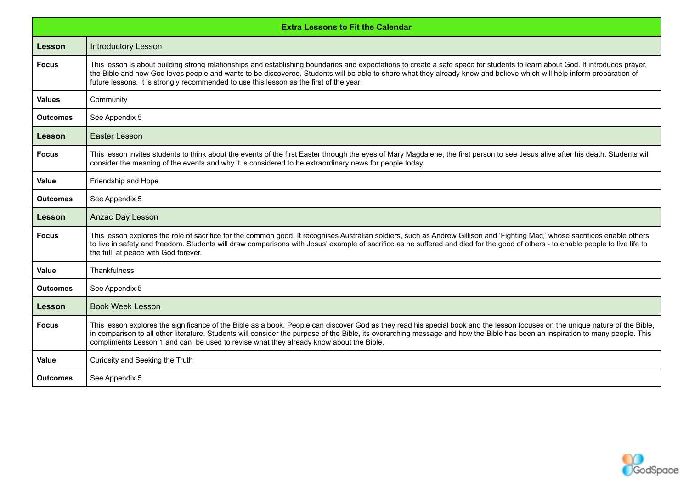|                 | <b>Extra Lessons to Fit the Calendar</b>                                                                                                                                                                                                                                                                                                                                                                                                                  |  |  |  |  |  |  |
|-----------------|-----------------------------------------------------------------------------------------------------------------------------------------------------------------------------------------------------------------------------------------------------------------------------------------------------------------------------------------------------------------------------------------------------------------------------------------------------------|--|--|--|--|--|--|
| <b>Lesson</b>   | <b>Introductory Lesson</b>                                                                                                                                                                                                                                                                                                                                                                                                                                |  |  |  |  |  |  |
| <b>Focus</b>    | This lesson is about building strong relationships and establishing boundaries and expectations to create a safe space for students to learn about God. It introduces prayer,<br>the Bible and how God loves people and wants to be discovered. Students will be able to share what they already know and believe which will help inform preparation of<br>future lessons. It is strongly recommended to use this lesson as the first of the year.        |  |  |  |  |  |  |
| <b>Values</b>   | Community                                                                                                                                                                                                                                                                                                                                                                                                                                                 |  |  |  |  |  |  |
| <b>Outcomes</b> | See Appendix 5                                                                                                                                                                                                                                                                                                                                                                                                                                            |  |  |  |  |  |  |
| <b>Lesson</b>   | Easter Lesson                                                                                                                                                                                                                                                                                                                                                                                                                                             |  |  |  |  |  |  |
| <b>Focus</b>    | This lesson invites students to think about the events of the first Easter through the eyes of Mary Magdalene, the first person to see Jesus alive after his death. Students will<br>consider the meaning of the events and why it is considered to be extraordinary news for people today.                                                                                                                                                               |  |  |  |  |  |  |
| Value           | Friendship and Hope                                                                                                                                                                                                                                                                                                                                                                                                                                       |  |  |  |  |  |  |
| <b>Outcomes</b> | See Appendix 5                                                                                                                                                                                                                                                                                                                                                                                                                                            |  |  |  |  |  |  |
| Lesson          | Anzac Day Lesson                                                                                                                                                                                                                                                                                                                                                                                                                                          |  |  |  |  |  |  |
| <b>Focus</b>    | This lesson explores the role of sacrifice for the common good. It recognises Australian soldiers, such as Andrew Gillison and 'Fighting Mac,' whose sacrifices enable others<br>to live in safety and freedom. Students will draw comparisons with Jesus' example of sacrifice as he suffered and died for the good of others - to enable people to live life to<br>the full, at peace with God forever.                                                 |  |  |  |  |  |  |
| Value           | Thankfulness                                                                                                                                                                                                                                                                                                                                                                                                                                              |  |  |  |  |  |  |
| <b>Outcomes</b> | See Appendix 5                                                                                                                                                                                                                                                                                                                                                                                                                                            |  |  |  |  |  |  |
| Lesson          | <b>Book Week Lesson</b>                                                                                                                                                                                                                                                                                                                                                                                                                                   |  |  |  |  |  |  |
| <b>Focus</b>    | This lesson explores the significance of the Bible as a book. People can discover God as they read his special book and the lesson focuses on the unique nature of the Bible,<br>in comparison to all other literature. Students will consider the purpose of the Bible, its overarching message and how the Bible has been an inspiration to many people. This<br>compliments Lesson 1 and can be used to revise what they already know about the Bible. |  |  |  |  |  |  |
| <b>Value</b>    | Curiosity and Seeking the Truth                                                                                                                                                                                                                                                                                                                                                                                                                           |  |  |  |  |  |  |
| <b>Outcomes</b> | See Appendix 5                                                                                                                                                                                                                                                                                                                                                                                                                                            |  |  |  |  |  |  |

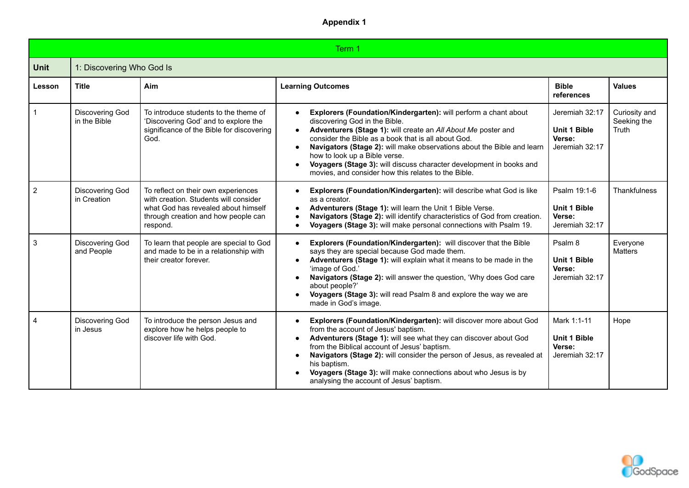|                | Term 1                               |                                                                                                                                                                        |                                                                                                                                                                                                                                                                                                                                                                                                                                                                                |                                                                   |                                       |  |  |
|----------------|--------------------------------------|------------------------------------------------------------------------------------------------------------------------------------------------------------------------|--------------------------------------------------------------------------------------------------------------------------------------------------------------------------------------------------------------------------------------------------------------------------------------------------------------------------------------------------------------------------------------------------------------------------------------------------------------------------------|-------------------------------------------------------------------|---------------------------------------|--|--|
| <b>Unit</b>    | 1: Discovering Who God Is            |                                                                                                                                                                        |                                                                                                                                                                                                                                                                                                                                                                                                                                                                                |                                                                   |                                       |  |  |
| Lesson         | <b>Title</b>                         | Aim                                                                                                                                                                    | <b>Learning Outcomes</b>                                                                                                                                                                                                                                                                                                                                                                                                                                                       | <b>Bible</b><br>references                                        | <b>Values</b>                         |  |  |
|                | Discovering God<br>in the Bible      | To introduce students to the theme of<br>'Discovering God' and to explore the<br>significance of the Bible for discovering<br>God.                                     | Explorers (Foundation/Kindergarten): will perform a chant about<br>discovering God in the Bible.<br>Adventurers (Stage 1): will create an All About Me poster and<br>consider the Bible as a book that is all about God.<br>Navigators (Stage 2): will make observations about the Bible and learn<br>$\bullet$<br>how to look up a Bible verse.<br>Voyagers (Stage 3): will discuss character development in books and<br>movies, and consider how this relates to the Bible. | Jeremiah 32:17<br><b>Unit 1 Bible</b><br>Verse:<br>Jeremiah 32:17 | Curiosity and<br>Seeking the<br>Truth |  |  |
| $\overline{2}$ | Discovering God<br>in Creation       | To reflect on their own experiences<br>with creation. Students will consider<br>what God has revealed about himself<br>through creation and how people can<br>respond. | Explorers (Foundation/Kindergarten): will describe what God is like<br>as a creator.<br>Adventurers (Stage 1): will learn the Unit 1 Bible Verse.<br>Navigators (Stage 2): will identify characteristics of God from creation.<br>Voyagers (Stage 3): will make personal connections with Psalm 19.                                                                                                                                                                            | Psalm 19:1-6<br><b>Unit 1 Bible</b><br>Verse:<br>Jeremiah 32:17   | Thankfulness                          |  |  |
| $\mathbf{3}$   | <b>Discovering God</b><br>and People | To learn that people are special to God<br>and made to be in a relationship with<br>their creator forever.                                                             | Explorers (Foundation/Kindergarten): will discover that the Bible<br>$\bullet$<br>says they are special because God made them.<br>Adventurers (Stage 1): will explain what it means to be made in the<br>$\bullet$<br>'image of God.'<br>Navigators (Stage 2): will answer the question, 'Why does God care<br>about people?'<br>Voyagers (Stage 3): will read Psalm 8 and explore the way we are<br>$\bullet$<br>made in God's image.                                         | Psalm 8<br><b>Unit 1 Bible</b><br>Verse:<br>Jeremiah 32:17        | Everyone<br><b>Matters</b>            |  |  |
| $\overline{4}$ | <b>Discovering God</b><br>in Jesus   | To introduce the person Jesus and<br>explore how he helps people to<br>discover life with God.                                                                         | Explorers (Foundation/Kindergarten): will discover more about God<br>$\bullet$<br>from the account of Jesus' baptism.<br>Adventurers (Stage 1): will see what they can discover about God<br>from the Biblical account of Jesus' baptism.<br>Navigators (Stage 2): will consider the person of Jesus, as revealed at<br>$\bullet$<br>his baptism.<br>Voyagers (Stage 3): will make connections about who Jesus is by<br>analysing the account of Jesus' baptism.               | Mark 1:1-11<br><b>Unit 1 Bible</b><br>Verse:<br>Jeremiah 32:17    | Hope                                  |  |  |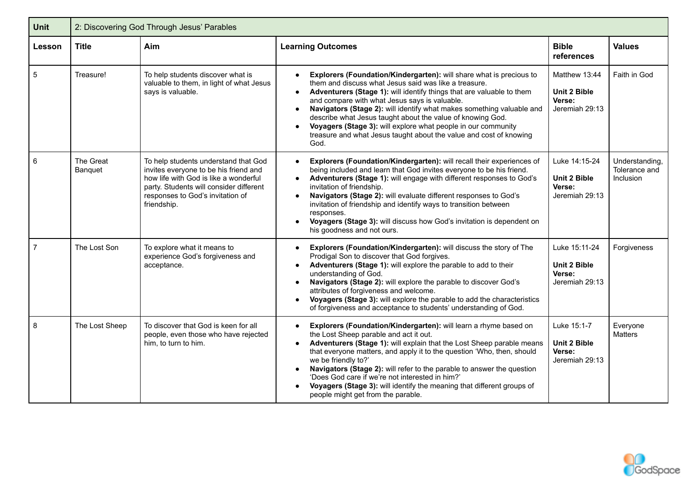| <b>Unit</b>     | 2: Discovering God Through Jesus' Parables |                                                                                                                                                                                                                      |                                                                                                                                                                                                                                                                                                                                                                                                                                                                                                                                                                        |                                                           |                                              |  |  |  |
|-----------------|--------------------------------------------|----------------------------------------------------------------------------------------------------------------------------------------------------------------------------------------------------------------------|------------------------------------------------------------------------------------------------------------------------------------------------------------------------------------------------------------------------------------------------------------------------------------------------------------------------------------------------------------------------------------------------------------------------------------------------------------------------------------------------------------------------------------------------------------------------|-----------------------------------------------------------|----------------------------------------------|--|--|--|
| Lesson          | <b>Title</b>                               | Aim                                                                                                                                                                                                                  | <b>Learning Outcomes</b>                                                                                                                                                                                                                                                                                                                                                                                                                                                                                                                                               | <b>Bible</b><br>references                                | <b>Values</b>                                |  |  |  |
| 5               | Treasure!                                  | To help students discover what is<br>valuable to them, in light of what Jesus<br>says is valuable.                                                                                                                   | Explorers (Foundation/Kindergarten): will share what is precious to<br>$\bullet$<br>them and discuss what Jesus said was like a treasure.<br>Adventurers (Stage 1): will identify things that are valuable to them<br>and compare with what Jesus says is valuable.<br>Navigators (Stage 2): will identify what makes something valuable and<br>$\bullet$<br>describe what Jesus taught about the value of knowing God.<br>Voyagers (Stage 3): will explore what people in our community<br>treasure and what Jesus taught about the value and cost of knowing<br>God. | Matthew 13:44<br>Unit 2 Bible<br>Verse:<br>Jeremiah 29:13 | Faith in God                                 |  |  |  |
| $6\phantom{1}6$ | The Great<br>Banquet                       | To help students understand that God<br>invites everyone to be his friend and<br>how life with God is like a wonderful<br>party. Students will consider different<br>responses to God's invitation of<br>friendship. | Explorers (Foundation/Kindergarten): will recall their experiences of<br>being included and learn that God invites everyone to be his friend.<br>Adventurers (Stage 1): will engage with different responses to God's<br>invitation of friendship.<br>Navigators (Stage 2): will evaluate different responses to God's<br>invitation of friendship and identify ways to transition between<br>responses.<br>Voyagers (Stage 3): will discuss how God's invitation is dependent on<br>his goodness and not ours.                                                        | Luke 14:15-24<br>Unit 2 Bible<br>Verse:<br>Jeremiah 29:13 | Understanding,<br>Tolerance and<br>Inclusion |  |  |  |
| $\overline{7}$  | The Lost Son                               | To explore what it means to<br>experience God's forgiveness and<br>acceptance.                                                                                                                                       | Explorers (Foundation/Kindergarten): will discuss the story of The<br>$\bullet$<br>Prodigal Son to discover that God forgives.<br>Adventurers (Stage 1): will explore the parable to add to their<br>understanding of God.<br>Navigators (Stage 2): will explore the parable to discover God's<br>$\bullet$<br>attributes of forgiveness and welcome.<br>Voyagers (Stage 3): will explore the parable to add the characteristics<br>$\bullet$<br>of forgiveness and acceptance to students' understanding of God.                                                      | Luke 15:11-24<br>Unit 2 Bible<br>Verse:<br>Jeremiah 29:13 | Forgiveness                                  |  |  |  |
| 8               | The Lost Sheep                             | To discover that God is keen for all<br>people, even those who have rejected<br>him, to turn to him.                                                                                                                 | Explorers (Foundation/Kindergarten): will learn a rhyme based on<br>the Lost Sheep parable and act it out.<br>Adventurers (Stage 1): will explain that the Lost Sheep parable means<br>that everyone matters, and apply it to the question 'Who, then, should<br>we be friendly to?'<br>Navigators (Stage 2): will refer to the parable to answer the question<br>'Does God care if we're not interested in him?'<br>Voyagers (Stage 3): will identify the meaning that different groups of<br>people might get from the parable.                                      | Luke 15:1-7<br>Unit 2 Bible<br>Verse:<br>Jeremiah 29:13   | Everyone<br>Matters                          |  |  |  |

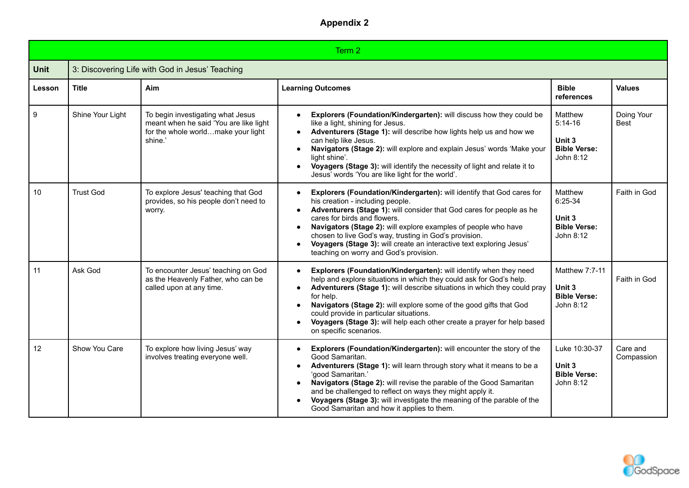|             | Term 2           |                                                                                                                              |                                                                                                                                                                                                                                                                                                                                                                                                                                                                                                                     |                                                                    |                           |  |  |
|-------------|------------------|------------------------------------------------------------------------------------------------------------------------------|---------------------------------------------------------------------------------------------------------------------------------------------------------------------------------------------------------------------------------------------------------------------------------------------------------------------------------------------------------------------------------------------------------------------------------------------------------------------------------------------------------------------|--------------------------------------------------------------------|---------------------------|--|--|
| <b>Unit</b> |                  | 3: Discovering Life with God in Jesus' Teaching                                                                              |                                                                                                                                                                                                                                                                                                                                                                                                                                                                                                                     |                                                                    |                           |  |  |
| Lesson      | <b>Title</b>     | Aim                                                                                                                          | <b>Learning Outcomes</b>                                                                                                                                                                                                                                                                                                                                                                                                                                                                                            | <b>Bible</b><br>references                                         | <b>Values</b>             |  |  |
| 9           | Shine Your Light | To begin investigating what Jesus<br>meant when he said 'You are like light<br>for the whole worldmake your light<br>shine.' | Explorers (Foundation/Kindergarten): will discuss how they could be<br>$\bullet$<br>like a light, shining for Jesus.<br>Adventurers (Stage 1): will describe how lights help us and how we<br>$\bullet$<br>can help like Jesus.<br>Navigators (Stage 2): will explore and explain Jesus' words 'Make your<br>$\bullet$<br>light shine'.<br>Voyagers (Stage 3): will identify the necessity of light and relate it to<br>$\bullet$<br>Jesus' words 'You are like light for the world'.                               | Matthew<br>$5:14-16$<br>Unit 3<br><b>Bible Verse:</b><br>John 8:12 | Doing Your<br><b>Best</b> |  |  |
| 10          | <b>Trust God</b> | To explore Jesus' teaching that God<br>provides, so his people don't need to<br>worry.                                       | Explorers (Foundation/Kindergarten): will identify that God cares for<br>$\bullet$<br>his creation - including people.<br>Adventurers (Stage 1): will consider that God cares for people as he<br>$\bullet$<br>cares for birds and flowers.<br>Navigators (Stage 2): will explore examples of people who have<br>$\bullet$<br>chosen to live God's way, trusting in God's provision.<br>Voyagers (Stage 3): will create an interactive text exploring Jesus'<br>$\bullet$<br>teaching on worry and God's provision. | Matthew<br>6:25-34<br>Unit 3<br><b>Bible Verse:</b><br>John 8:12   | Faith in God              |  |  |
| 11          | Ask God          | To encounter Jesus' teaching on God<br>as the Heavenly Father, who can be<br>called upon at any time.                        | Explorers (Foundation/Kindergarten): will identify when they need<br>$\bullet$<br>help and explore situations in which they could ask for God's help.<br>Adventurers (Stage 1): will describe situations in which they could pray<br>$\bullet$<br>for help.<br>Navigators (Stage 2): will explore some of the good gifts that God<br>$\bullet$<br>could provide in particular situations.<br>Voyagers (Stage 3): will help each other create a prayer for help based<br>$\bullet$<br>on specific scenarios.         | Matthew 7:7-11<br>Unit 3<br><b>Bible Verse:</b><br>John 8:12       | Faith in God              |  |  |
| 12          | Show You Care    | To explore how living Jesus' way<br>involves treating everyone well.                                                         | Explorers (Foundation/Kindergarten): will encounter the story of the<br>$\bullet$<br>Good Samaritan.<br>Adventurers (Stage 1): will learn through story what it means to be a<br>$\bullet$<br>'good Samaritan.'<br>Navigators (Stage 2): will revise the parable of the Good Samaritan<br>$\bullet$<br>and be challenged to reflect on ways they might apply it.<br>Voyagers (Stage 3): will investigate the meaning of the parable of the<br>Good Samaritan and how it applies to them.                            | Luke 10:30-37<br>Unit 3<br><b>Bible Verse:</b><br>John 8:12        | Care and<br>Compassion    |  |  |

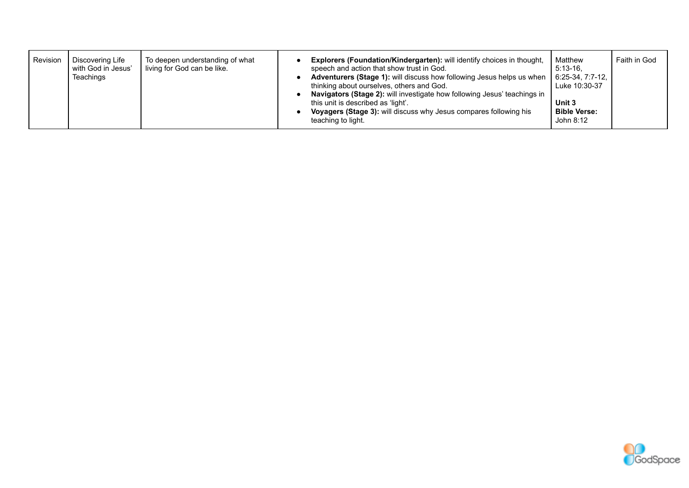| Revision | Discovering Life<br>with God in Jesus'<br>Teachings | To deepen understanding of what<br>living for God can be like. |  | Explorers (Foundation/Kindergarten): will identify choices in thought,<br>speech and action that show trust in God.<br>Adventurers (Stage 1): will discuss how following Jesus helps us when   6:25-34, 7:7-12,<br>thinking about ourselves, others and God.<br>Navigators (Stage 2): will investigate how following Jesus' teachings in<br>this unit is described as 'light'.<br><b>Voyagers (Stage 3):</b> will discuss why Jesus compares following his<br>teaching to light. | Matthew<br>$5:13-16$ .<br>Luke 10:30-37<br>Unit 3<br><b>Bible Verse:</b><br>John 8:12 | Faith in God |
|----------|-----------------------------------------------------|----------------------------------------------------------------|--|----------------------------------------------------------------------------------------------------------------------------------------------------------------------------------------------------------------------------------------------------------------------------------------------------------------------------------------------------------------------------------------------------------------------------------------------------------------------------------|---------------------------------------------------------------------------------------|--------------|
|----------|-----------------------------------------------------|----------------------------------------------------------------|--|----------------------------------------------------------------------------------------------------------------------------------------------------------------------------------------------------------------------------------------------------------------------------------------------------------------------------------------------------------------------------------------------------------------------------------------------------------------------------------|---------------------------------------------------------------------------------------|--------------|

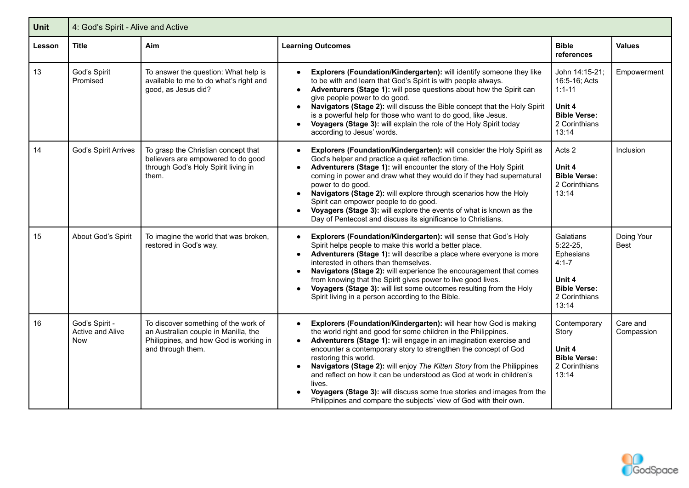| Unit   | 4: God's Spirit - Alive and Active               |                                                                                                                                             |                                                                                                                                                                                                                                                                                                                                                                                                                                                                                                                                                                                                                |                                                                                                              |                        |  |  |  |
|--------|--------------------------------------------------|---------------------------------------------------------------------------------------------------------------------------------------------|----------------------------------------------------------------------------------------------------------------------------------------------------------------------------------------------------------------------------------------------------------------------------------------------------------------------------------------------------------------------------------------------------------------------------------------------------------------------------------------------------------------------------------------------------------------------------------------------------------------|--------------------------------------------------------------------------------------------------------------|------------------------|--|--|--|
| Lesson | <b>Title</b>                                     | Aim                                                                                                                                         | <b>Learning Outcomes</b>                                                                                                                                                                                                                                                                                                                                                                                                                                                                                                                                                                                       | <b>Bible</b><br>references                                                                                   | <b>Values</b>          |  |  |  |
| 13     | God's Spirit<br>Promised                         | To answer the question: What help is<br>available to me to do what's right and<br>good, as Jesus did?                                       | Explorers (Foundation/Kindergarten): will identify someone they like<br>to be with and learn that God's Spirit is with people always.<br>Adventurers (Stage 1): will pose questions about how the Spirit can<br>$\bullet$<br>give people power to do good.<br>Navigators (Stage 2): will discuss the Bible concept that the Holy Spirit<br>$\bullet$<br>is a powerful help for those who want to do good, like Jesus.<br>Voyagers (Stage 3): will explain the role of the Holy Spirit today<br>according to Jesus' words.                                                                                      | John 14:15-21;<br>16:5-16; Acts<br>$1:1 - 11$<br>Unit 4<br><b>Bible Verse:</b><br>2 Corinthians<br>13:14     | Empowerment            |  |  |  |
| 14     | God's Spirit Arrives                             | To grasp the Christian concept that<br>believers are empowered to do good<br>through God's Holy Spirit living in<br>them.                   | Explorers (Foundation/Kindergarten): will consider the Holy Spirit as<br>God's helper and practice a quiet reflection time.<br>Adventurers (Stage 1): will encounter the story of the Holy Spirit<br>coming in power and draw what they would do if they had supernatural<br>power to do good.<br>Navigators (Stage 2): will explore through scenarios how the Holy<br>Spirit can empower people to do good.<br>Voyagers (Stage 3): will explore the events of what is known as the<br>Day of Pentecost and discuss its significance to Christians.                                                            | Acts 2<br>Unit 4<br><b>Bible Verse:</b><br>2 Corinthians<br>13:14                                            | Inclusion              |  |  |  |
| 15     | About God's Spirit                               | To imagine the world that was broken,<br>restored in God's way.                                                                             | Explorers (Foundation/Kindergarten): will sense that God's Holy<br>Spirit helps people to make this world a better place.<br>Adventurers (Stage 1): will describe a place where everyone is more<br>$\bullet$<br>interested in others than themselves.<br>Navigators (Stage 2): will experience the encouragement that comes<br>$\bullet$<br>from knowing that the Spirit gives power to live good lives.<br>Voyagers (Stage 3): will list some outcomes resulting from the Holy<br>Spirit living in a person according to the Bible.                                                                          | Galatians<br>$5:22-25,$<br>Ephesians<br>$4:1 - 7$<br>Unit 4<br><b>Bible Verse:</b><br>2 Corinthians<br>13:14 | Doing Your<br>Best     |  |  |  |
| 16     | God's Spirit -<br>Active and Alive<br><b>Now</b> | To discover something of the work of<br>an Australian couple in Manilla, the<br>Philippines, and how God is working in<br>and through them. | Explorers (Foundation/Kindergarten): will hear how God is making<br>the world right and good for some children in the Philippines.<br>Adventurers (Stage 1): will engage in an imagination exercise and<br>encounter a contemporary story to strengthen the concept of God<br>restoring this world.<br>Navigators (Stage 2): will enjoy The Kitten Story from the Philippines<br>and reflect on how it can be understood as God at work in children's<br>lives.<br>Voyagers (Stage 3): will discuss some true stories and images from the<br>Philippines and compare the subjects' view of God with their own. | Contemporary<br>Story<br>Unit 4<br><b>Bible Verse:</b><br>2 Corinthians<br>13:14                             | Care and<br>Compassion |  |  |  |

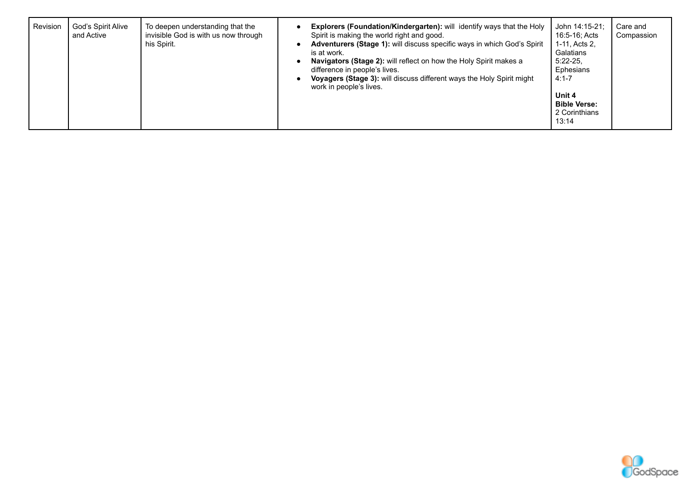| Revision | God's Spirit Alive<br>and Active | To deepen understanding that the<br>invisible God is with us now through<br>his Spirit. |  | <b>Explorers (Foundation/Kindergarten):</b> will identify ways that the Holy<br>Spirit is making the world right and good.<br><b>Adventurers (Stage 1):</b> will discuss specific ways in which God's Spirit<br>is at work.<br>Navigators (Stage 2): will reflect on how the Holy Spirit makes a<br>difference in people's lives.<br>Voyagers (Stage 3): will discuss different ways the Holy Spirit might<br>work in people's lives. | John 14:15-21;<br>16:5-16; Acts<br>1-11, Acts 2,<br>Galatians<br>$5:22-25$<br>Ephesians<br>$4:1 - 7$<br>Unit 4<br><b>Bible Verse:</b><br>2 Corinthians<br>13:14 | Care and<br>Compassion |
|----------|----------------------------------|-----------------------------------------------------------------------------------------|--|---------------------------------------------------------------------------------------------------------------------------------------------------------------------------------------------------------------------------------------------------------------------------------------------------------------------------------------------------------------------------------------------------------------------------------------|-----------------------------------------------------------------------------------------------------------------------------------------------------------------|------------------------|
|----------|----------------------------------|-----------------------------------------------------------------------------------------|--|---------------------------------------------------------------------------------------------------------------------------------------------------------------------------------------------------------------------------------------------------------------------------------------------------------------------------------------------------------------------------------------------------------------------------------------|-----------------------------------------------------------------------------------------------------------------------------------------------------------------|------------------------|

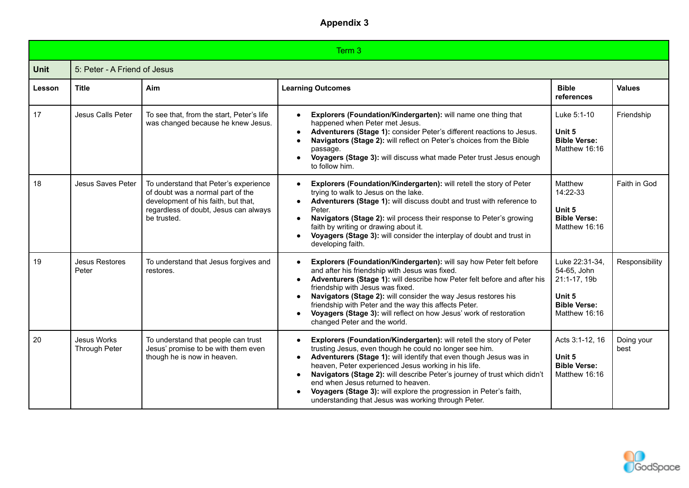|             | Term 3                              |                                                                                                                                                                           |                                                                                                                                                                                                                                                                                                                                                                                                                                                                                                                           |                                                                                                 |                    |  |  |
|-------------|-------------------------------------|---------------------------------------------------------------------------------------------------------------------------------------------------------------------------|---------------------------------------------------------------------------------------------------------------------------------------------------------------------------------------------------------------------------------------------------------------------------------------------------------------------------------------------------------------------------------------------------------------------------------------------------------------------------------------------------------------------------|-------------------------------------------------------------------------------------------------|--------------------|--|--|
| <b>Unit</b> | 5: Peter - A Friend of Jesus        |                                                                                                                                                                           |                                                                                                                                                                                                                                                                                                                                                                                                                                                                                                                           |                                                                                                 |                    |  |  |
| Lesson      | <b>Title</b>                        | Aim                                                                                                                                                                       | <b>Learning Outcomes</b>                                                                                                                                                                                                                                                                                                                                                                                                                                                                                                  | <b>Bible</b><br>references                                                                      | <b>Values</b>      |  |  |
| 17          | Jesus Calls Peter                   | To see that, from the start, Peter's life<br>was changed because he knew Jesus.                                                                                           | Explorers (Foundation/Kindergarten): will name one thing that<br>happened when Peter met Jesus.<br>Adventurers (Stage 1): consider Peter's different reactions to Jesus.<br>Navigators (Stage 2): will reflect on Peter's choices from the Bible<br>$\bullet$<br>passage.<br>Voyagers (Stage 3): will discuss what made Peter trust Jesus enough<br>to follow him.                                                                                                                                                        | Luke 5:1-10<br>Unit 5<br><b>Bible Verse:</b><br>Matthew 16:16                                   | Friendship         |  |  |
| 18          | Jesus Saves Peter                   | To understand that Peter's experience<br>of doubt was a normal part of the<br>development of his faith, but that,<br>regardless of doubt, Jesus can always<br>be trusted. | Explorers (Foundation/Kindergarten): will retell the story of Peter<br>trying to walk to Jesus on the lake.<br>Adventurers (Stage 1): will discuss doubt and trust with reference to<br>Peter.<br>Navigators (Stage 2): wil process their response to Peter's growing<br>$\bullet$<br>faith by writing or drawing about it.<br>Voyagers (Stage 3): will consider the interplay of doubt and trust in<br>developing faith.                                                                                                 | Matthew<br>14:22-33<br>Unit 5<br><b>Bible Verse:</b><br>Matthew 16:16                           | Faith in God       |  |  |
| 19          | <b>Jesus Restores</b><br>Peter      | To understand that Jesus forgives and<br>restores.                                                                                                                        | Explorers (Foundation/Kindergarten): will say how Peter felt before<br>and after his friendship with Jesus was fixed.<br>Adventurers (Stage 1): will describe how Peter felt before and after his<br>friendship with Jesus was fixed.<br>Navigators (Stage 2): will consider the way Jesus restores his<br>friendship with Peter and the way this affects Peter.<br>Voyagers (Stage 3): will reflect on how Jesus' work of restoration<br>changed Peter and the world.                                                    | Luke 22:31-34,<br>54-65, John<br>21:1-17, 19b<br>Unit 5<br><b>Bible Verse:</b><br>Matthew 16:16 | Responsibility     |  |  |
| 20          | Jesus Works<br><b>Through Peter</b> | To understand that people can trust<br>Jesus' promise to be with them even<br>though he is now in heaven.                                                                 | Explorers (Foundation/Kindergarten): will retell the story of Peter<br>$\bullet$<br>trusting Jesus, even though he could no longer see him.<br>Adventurers (Stage 1): will identify that even though Jesus was in<br>heaven, Peter experienced Jesus working in his life.<br>Navigators (Stage 2): will describe Peter's journey of trust which didn't<br>end when Jesus returned to heaven.<br>Voyagers (Stage 3): will explore the progression in Peter's faith,<br>understanding that Jesus was working through Peter. | Acts 3:1-12, 16<br>Unit 5<br><b>Bible Verse:</b><br>Matthew 16:16                               | Doing your<br>best |  |  |

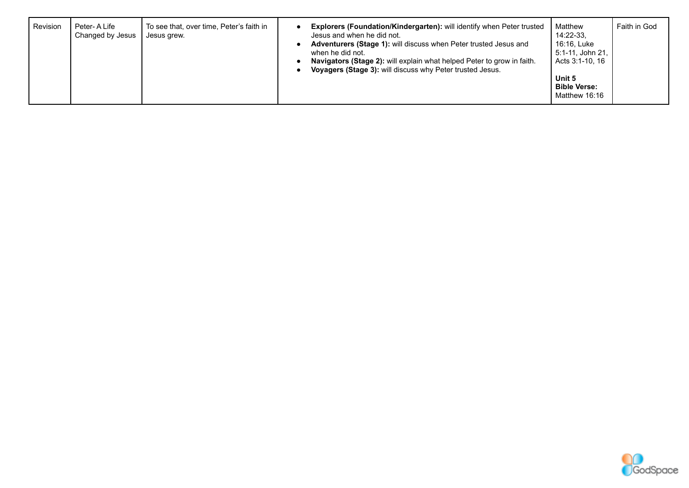| <b>Revision</b> | Peter-ALife<br>Changed by Jesus | To see that, over time, Peter's faith in<br>Jesus grew. |  | <b>Explorers (Foundation/Kindergarten):</b> will identify when Peter trusted<br>Jesus and when he did not.<br><b>Adventurers (Stage 1):</b> will discuss when Peter trusted Jesus and<br>when he did not.<br>Navigators (Stage 2): will explain what helped Peter to grow in faith.<br>Voyagers (Stage 3): will discuss why Peter trusted Jesus. | Matthew<br>14:22-33.<br>16:16. Luke<br>5:1-11, John 21,<br>Acts 3:1-10, 16<br>Unit 5<br><b>Bible Verse:</b><br>Matthew 16:16 | Faith in God |
|-----------------|---------------------------------|---------------------------------------------------------|--|--------------------------------------------------------------------------------------------------------------------------------------------------------------------------------------------------------------------------------------------------------------------------------------------------------------------------------------------------|------------------------------------------------------------------------------------------------------------------------------|--------------|
|-----------------|---------------------------------|---------------------------------------------------------|--|--------------------------------------------------------------------------------------------------------------------------------------------------------------------------------------------------------------------------------------------------------------------------------------------------------------------------------------------------|------------------------------------------------------------------------------------------------------------------------------|--------------|

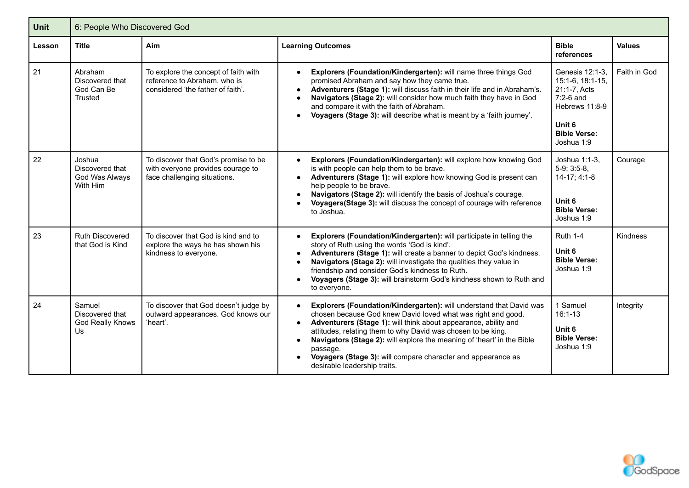| <b>Unit</b> | 6: People Who Discovered God                            |                                                                                                           |                                                                                                                                                                                                                                                                                                                                                                                                                                                                                        |                                                                                                                                     |               |  |  |
|-------------|---------------------------------------------------------|-----------------------------------------------------------------------------------------------------------|----------------------------------------------------------------------------------------------------------------------------------------------------------------------------------------------------------------------------------------------------------------------------------------------------------------------------------------------------------------------------------------------------------------------------------------------------------------------------------------|-------------------------------------------------------------------------------------------------------------------------------------|---------------|--|--|
| Lesson      | <b>Title</b>                                            | Aim                                                                                                       | <b>Learning Outcomes</b>                                                                                                                                                                                                                                                                                                                                                                                                                                                               | <b>Bible</b><br>references                                                                                                          | <b>Values</b> |  |  |
| 21          | Abraham<br>Discovered that<br>God Can Be<br>Trusted     | To explore the concept of faith with<br>reference to Abraham, who is<br>considered 'the father of faith'. | Explorers (Foundation/Kindergarten): will name three things God<br>promised Abraham and say how they came true.<br>Adventurers (Stage 1): will discuss faith in their life and in Abraham's.<br>$\bullet$<br>Navigators (Stage 2): will consider how much faith they have in God<br>$\bullet$<br>and compare it with the faith of Abraham.<br>Voyagers (Stage 3): will describe what is meant by a 'faith journey'.<br>$\bullet$                                                       | Genesis 12:1-3.<br>15:1-6, 18:1-15,<br>21:1-7, Acts<br>$7:2-6$ and<br>Hebrews 11:8-9<br>Unit 6<br><b>Bible Verse:</b><br>Joshua 1:9 | Faith in God  |  |  |
| 22          | Joshua<br>Discovered that<br>God Was Always<br>With Him | To discover that God's promise to be<br>with everyone provides courage to<br>face challenging situations. | Explorers (Foundation/Kindergarten): will explore how knowing God<br>$\bullet$<br>is with people can help them to be brave.<br>Adventurers (Stage 1): will explore how knowing God is present can<br>$\bullet$<br>help people to be brave.<br>Navigators (Stage 2): will identify the basis of Joshua's courage.<br>Voyagers (Stage 3): will discuss the concept of courage with reference<br>to Joshua.                                                                               | Joshua 1:1-3,<br>$5-9; 3:5-8,$<br>14-17; 4:1-8<br>Unit 6<br><b>Bible Verse:</b><br>Joshua 1:9                                       | Courage       |  |  |
| 23          | Ruth Discovered<br>that God is Kind                     | To discover that God is kind and to<br>explore the ways he has shown his<br>kindness to everyone.         | Explorers (Foundation/Kindergarten): will participate in telling the<br>$\bullet$<br>story of Ruth using the words 'God is kind'.<br>Adventurers (Stage 1): will create a banner to depict God's kindness.<br>Navigators (Stage 2): will investigate the qualities they value in<br>friendship and consider God's kindness to Ruth.<br>Voyagers (Stage 3): will brainstorm God's kindness shown to Ruth and<br>to everyone.                                                            | <b>Ruth 1-4</b><br>Unit 6<br><b>Bible Verse:</b><br>Joshua 1:9                                                                      | Kindness      |  |  |
| 24          | Samuel<br>Discovered that<br>God Really Knows<br>Us     | To discover that God doesn't judge by<br>outward appearances. God knows our<br>'heart'.                   | Explorers (Foundation/Kindergarten): will understand that David was<br>$\bullet$<br>chosen because God knew David loved what was right and good.<br>Adventurers (Stage 1): will think about appearance, ability and<br>attitudes, relating them to why David was chosen to be king.<br>Navigators (Stage 2): will explore the meaning of 'heart' in the Bible<br>$\bullet$<br>passage.<br>Voyagers (Stage 3): will compare character and appearance as<br>desirable leadership traits. | 1 Samuel<br>$16:1-13$<br>Unit 6<br><b>Bible Verse:</b><br>Joshua 1:9                                                                | Integrity     |  |  |

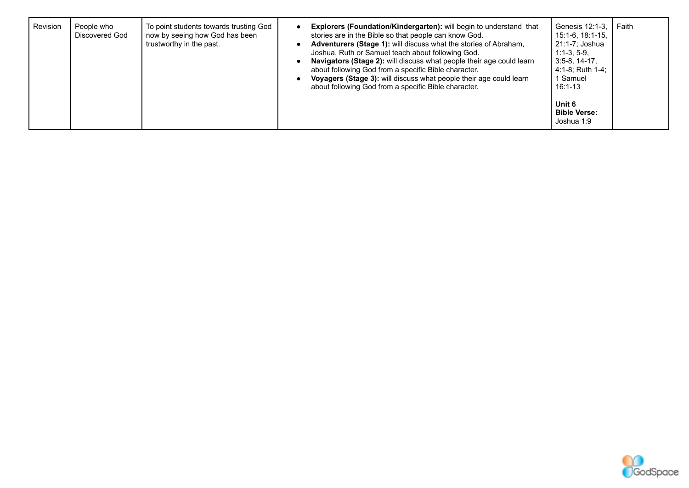| Revision | People who<br>Discovered God | To point students towards trusting God<br>now by seeing how God has been<br>trustworthy in the past. | <b>Explorers (Foundation/Kindergarten):</b> will begin to understand that<br>stories are in the Bible so that people can know God.<br>Adventurers (Stage 1): will discuss what the stories of Abraham,<br>Joshua, Ruth or Samuel teach about following God.<br>Navigators (Stage 2): will discuss what people their age could learn<br>about following God from a specific Bible character.<br>Voyagers (Stage 3): will discuss what people their age could learn<br>about following God from a specific Bible character. | Genesis 12:1-3,<br>15:1-6, 18:1-15,<br>21:1-7; Joshua<br>$1:1-3.5-9.$<br>$3:5-8, 14-17,$<br>4:1-8: Ruth 1-4:<br>1 Samuel<br>$16:1-13$<br>Unit 6<br><b>Bible Verse:</b> | Faith |
|----------|------------------------------|------------------------------------------------------------------------------------------------------|---------------------------------------------------------------------------------------------------------------------------------------------------------------------------------------------------------------------------------------------------------------------------------------------------------------------------------------------------------------------------------------------------------------------------------------------------------------------------------------------------------------------------|------------------------------------------------------------------------------------------------------------------------------------------------------------------------|-------|
|          |                              |                                                                                                      |                                                                                                                                                                                                                                                                                                                                                                                                                                                                                                                           | Joshua 1:9                                                                                                                                                             |       |

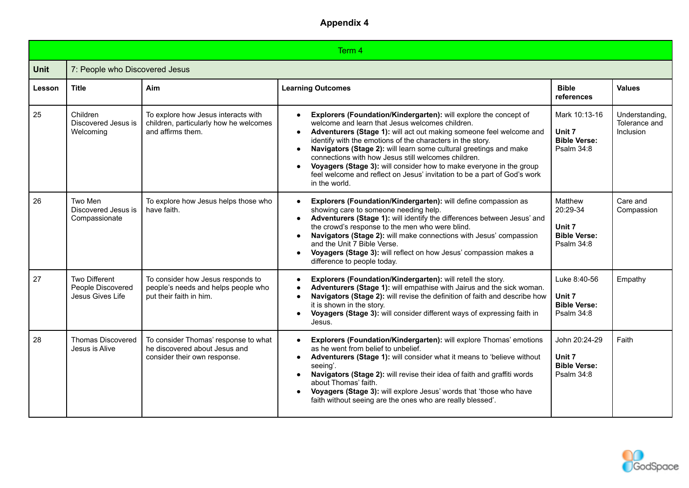| Term 4      |                                                               |                                                                                                       |                                                                                                                                                                                                                                                                                                                                                                                                                                                                                                                                                                                                 |                                                                    |                                              |  |  |
|-------------|---------------------------------------------------------------|-------------------------------------------------------------------------------------------------------|-------------------------------------------------------------------------------------------------------------------------------------------------------------------------------------------------------------------------------------------------------------------------------------------------------------------------------------------------------------------------------------------------------------------------------------------------------------------------------------------------------------------------------------------------------------------------------------------------|--------------------------------------------------------------------|----------------------------------------------|--|--|
| <b>Unit</b> | 7: People who Discovered Jesus                                |                                                                                                       |                                                                                                                                                                                                                                                                                                                                                                                                                                                                                                                                                                                                 |                                                                    |                                              |  |  |
| Lesson      | <b>Title</b>                                                  | Aim                                                                                                   | <b>Learning Outcomes</b>                                                                                                                                                                                                                                                                                                                                                                                                                                                                                                                                                                        | <b>Bible</b><br>references                                         | <b>Values</b>                                |  |  |
| 25          | Children<br>Discovered Jesus is<br>Welcoming                  | To explore how Jesus interacts with<br>children, particularly how he welcomes<br>and affirms them.    | Explorers (Foundation/Kindergarten): will explore the concept of<br>welcome and learn that Jesus welcomes children.<br>Adventurers (Stage 1): will act out making someone feel welcome and<br>$\bullet$<br>identify with the emotions of the characters in the story.<br>Navigators (Stage 2): will learn some cultural greetings and make<br>$\bullet$<br>connections with how Jesus still welcomes children.<br>Voyagers (Stage 3): will consider how to make everyone in the group<br>$\bullet$<br>feel welcome and reflect on Jesus' invitation to be a part of God's work<br>in the world. | Mark 10:13-16<br>Unit 7<br><b>Bible Verse:</b><br>Psalm 34:8       | Understanding,<br>Tolerance and<br>Inclusion |  |  |
| 26          | Two Men<br>Discovered Jesus is<br>Compassionate               | To explore how Jesus helps those who<br>have faith.                                                   | Explorers (Foundation/Kindergarten): will define compassion as<br>showing care to someone needing help.<br>Adventurers (Stage 1): will identify the differences between Jesus' and<br>$\bullet$<br>the crowd's response to the men who were blind.<br>Navigators (Stage 2): will make connections with Jesus' compassion<br>$\bullet$<br>and the Unit 7 Bible Verse.<br>Voyagers (Stage 3): will reflect on how Jesus' compassion makes a<br>$\bullet$<br>difference to people today.                                                                                                           | Matthew<br>20:29-34<br>Unit 7<br><b>Bible Verse:</b><br>Psalm 34:8 | Care and<br>Compassion                       |  |  |
| 27          | <b>Two Different</b><br>People Discovered<br>Jesus Gives Life | To consider how Jesus responds to<br>people's needs and helps people who<br>put their faith in him.   | Explorers (Foundation/Kindergarten): will retell the story.<br>Adventurers (Stage 1): will empathise with Jairus and the sick woman.<br>Navigators (Stage 2): will revise the definition of faith and describe how<br>it is shown in the story.<br>Voyagers (Stage 3): will consider different ways of expressing faith in<br>Jesus.                                                                                                                                                                                                                                                            | Luke 8:40-56<br>Unit 7<br><b>Bible Verse:</b><br>Psalm 34:8        | Empathy                                      |  |  |
| 28          | Thomas Discovered<br>Jesus is Alive                           | To consider Thomas' response to what<br>he discovered about Jesus and<br>consider their own response. | Explorers (Foundation/Kindergarten): will explore Thomas' emotions<br>as he went from belief to unbelief.<br>Adventurers (Stage 1): will consider what it means to 'believe without<br>$\bullet$<br>seeing'.<br>Navigators (Stage 2): will revise their idea of faith and graffiti words<br>about Thomas' faith.<br>Voyagers (Stage 3): will explore Jesus' words that 'those who have<br>faith without seeing are the ones who are really blessed'.                                                                                                                                            | John 20:24-29<br>Unit 7<br><b>Bible Verse:</b><br>Psalm 34:8       | Faith                                        |  |  |

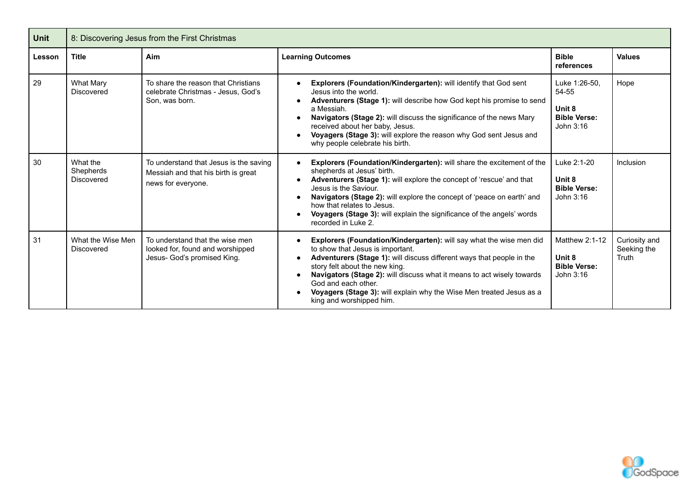| Unit   | 8: Discovering Jesus from the First Christmas |                                                                                                     |                                                                                                                                                                                                                                                                                                                                                                                                                         |                                                                      |                                       |  |  |
|--------|-----------------------------------------------|-----------------------------------------------------------------------------------------------------|-------------------------------------------------------------------------------------------------------------------------------------------------------------------------------------------------------------------------------------------------------------------------------------------------------------------------------------------------------------------------------------------------------------------------|----------------------------------------------------------------------|---------------------------------------|--|--|
| Lesson | <b>Title</b>                                  | Aim                                                                                                 | <b>Learning Outcomes</b>                                                                                                                                                                                                                                                                                                                                                                                                | <b>Bible</b><br>references                                           | <b>Values</b>                         |  |  |
| 29     | <b>What Mary</b><br><b>Discovered</b>         | To share the reason that Christians<br>celebrate Christmas - Jesus, God's<br>Son, was born.         | Explorers (Foundation/Kindergarten): will identify that God sent<br>Jesus into the world.<br>Adventurers (Stage 1): will describe how God kept his promise to send<br>a Messiah.<br>Navigators (Stage 2): will discuss the significance of the news Mary<br>received about her baby, Jesus.<br>Voyagers (Stage 3): will explore the reason why God sent Jesus and<br>why people celebrate his birth.                    | Luke 1:26-50.<br>54-55<br>Unit 8<br><b>Bible Verse:</b><br>John 3:16 | Hope                                  |  |  |
| 30     | What the<br>Shepherds<br>Discovered           | To understand that Jesus is the saving<br>Messiah and that his birth is great<br>news for everyone. | Explorers (Foundation/Kindergarten): will share the excitement of the<br>shepherds at Jesus' birth.<br>Adventurers (Stage 1): will explore the concept of 'rescue' and that<br>Jesus is the Saviour.<br>Navigators (Stage 2): will explore the concept of 'peace on earth' and<br>how that relates to Jesus.<br>Voyagers (Stage 3): will explain the significance of the angels' words<br>recorded in Luke 2.           | Luke 2:1-20<br>Unit 8<br><b>Bible Verse:</b><br>John 3:16            | Inclusion                             |  |  |
| 31     | What the Wise Men<br><b>Discovered</b>        | To understand that the wise men<br>looked for, found and worshipped<br>Jesus- God's promised King.  | Explorers (Foundation/Kindergarten): will say what the wise men did<br>to show that Jesus is important.<br>Adventurers (Stage 1): will discuss different ways that people in the<br>story felt about the new king.<br>Navigators (Stage 2): will discuss what it means to act wisely towards<br>God and each other.<br>Voyagers (Stage 3): will explain why the Wise Men treated Jesus as a<br>king and worshipped him. | Matthew 2:1-12<br>Unit 8<br><b>Bible Verse:</b><br>John 3:16         | Curiosity and<br>Seeking the<br>Truth |  |  |